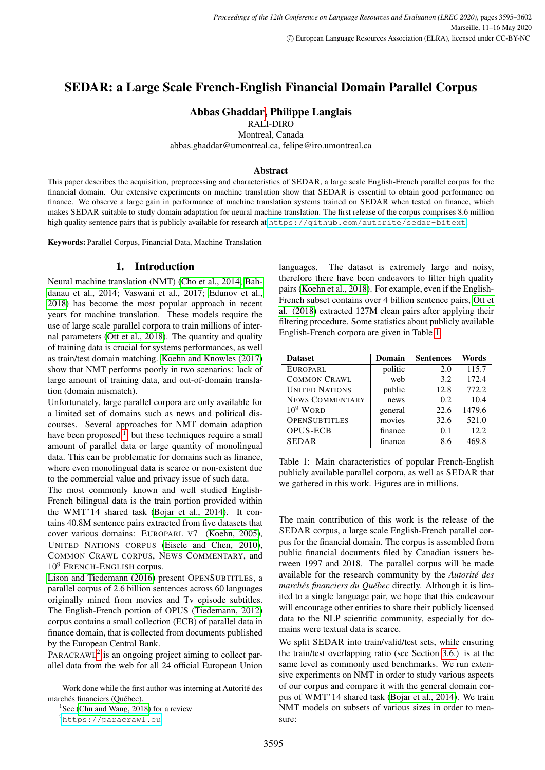# SEDAR: a Large Scale French-English Financial Domain Parallel Corpus

## Abbas Ghaddar, Philippe Langlais

RALI-DIRO

Montreal, Canada

abbas.ghaddar@umontreal.ca, felipe@iro.umontreal.ca

#### Abstract

This paper describes the acquisition, preprocessing and characteristics of SEDAR, a large scale English-French parallel corpus for the financial domain. Our extensive experiments on machine translation show that SEDAR is essential to obtain good performance on finance. We observe a large gain in performance of machine translation systems trained on SEDAR when tested on finance, which makes SEDAR suitable to study domain adaptation for neural machine translation. The first release of the corpus comprises 8.6 million high quality sentence pairs that is publicly available for research at <https://github.com/autorite/sedar-bitext>.

Keywords: Parallel Corpus, Financial Data, Machine Translation

### 1. Introduction

Neural machine translation (NMT) [\(Cho et al., 2014;](#page-6-0) [Bah](#page-6-1)[danau et al., 2014;](#page-6-1) [Vaswani et al., 2017;](#page-7-0) [Edunov et al.,](#page-6-2) [2018\)](#page-6-2) has become the most popular approach in recent years for machine translation. These models require the use of large scale parallel corpora to train millions of internal parameters [\(Ott et al., 2018\)](#page-7-1). The quantity and quality of training data is crucial for systems performances, as well as train/test domain matching. [Koehn and Knowles \(2017\)](#page-6-3) show that NMT performs poorly in two scenarios: lack of large amount of training data, and out-of-domain translation (domain mismatch).

Unfortunately, large parallel corpora are only available for a limited set of domains such as news and political discourses. Several approaches for NMT domain adaption have been proposed  $<sup>1</sup>$  $<sup>1</sup>$  $<sup>1</sup>$ , but these techniques require a small</sup> amount of parallel data or large quantity of monolingual data. This can be problematic for domains such as finance, where even monolingual data is scarce or non-existent due to the commercial value and privacy issue of such data.

The most commonly known and well studied English-French bilingual data is the train portion provided within the WMT'14 shared task [\(Bojar et al., 2014\)](#page-6-4). It contains 40.8M sentence pairs extracted from five datasets that cover various domains: EUROPARL V7 [\(Koehn, 2005\)](#page-7-2), UNITED NATIONS CORPUS [\(Eisele and Chen, 2010\)](#page-6-5), COMMON CRAWL CORPUS, NEWS COMMENTARY, and  $10<sup>9</sup>$  FRENCH-ENGLISH corpus.

[Lison and Tiedemann \(2016\)](#page-7-3) present OPENSUBTITLES, a parallel corpus of 2.6 billion sentences across 60 languages originally mined from movies and Tv episode subtitles. The English-French portion of OPUS [\(Tiedemann, 2012\)](#page-7-4) corpus contains a small collection (ECB) of parallel data in finance domain, that is collected from documents published by the European Central Bank.

PARACRAWL<sup>[2](#page-0-1)</sup> is an ongoing project aiming to collect parallel data from the web for all 24 official European Union languages. The dataset is extremely large and noisy, therefore there have been endeavors to filter high quality pairs [\(Koehn et al., 2018\)](#page-6-7). For example, even if the English-French subset contains over 4 billion sentence pairs, [Ott et](#page-7-1) [al. \(2018\)](#page-7-1) extracted 127M clean pairs after applying their filtering procedure. Some statistics about publicly available English-French corpora are given in Table [1.](#page-0-2)

<span id="page-0-2"></span>

| <b>Dataset</b>         | Domain  | <b>Sentences</b> | Words  |  |
|------------------------|---------|------------------|--------|--|
| <b>EUROPARL</b>        | politic | 2.0              | 115.7  |  |
| <b>COMMON CRAWL</b>    | web     | 3.2              | 172.4  |  |
| <b>UNITED NATIONS</b>  | public  | 12.8             | 772.2  |  |
| <b>NEWS COMMENTARY</b> | news    | 0.2              | 10.4   |  |
| $10^9$ WORD            | general | 22.6             | 1479.6 |  |
| <b>OPENSUBTITLES</b>   | movies  | 32.6             | 521.0  |  |
| <b>OPUS-ECB</b>        | finance | 0.1              | 12.2   |  |
| <b>SEDAR</b>           | finance | 8.6              | 469.8  |  |

Table 1: Main characteristics of popular French-English publicly available parallel corpora, as well as SEDAR that we gathered in this work. Figures are in millions.

The main contribution of this work is the release of the SEDAR corpus, a large scale English-French parallel corpus for the financial domain. The corpus is assembled from public financial documents filed by Canadian issuers between 1997 and 2018. The parallel corpus will be made available for the research community by the *Autorite des ´ marchés financiers du Québec* directly. Although it is limited to a single language pair, we hope that this endeavour will encourage other entities to share their publicly licensed data to the NLP scientific community, especially for domains were textual data is scarce.

We split SEDAR into train/valid/test sets, while ensuring the train/test overlapping ratio (see Section [3.6.\)](#page-4-0) is at the same level as commonly used benchmarks. We run extensive experiments on NMT in order to study various aspects of our corpus and compare it with the general domain corpus of WMT'14 shared task [\(Bojar et al., 2014\)](#page-6-4). We train NMT models on subsets of various sizes in order to measure:

Work done while the first author was interning at Autorité des marchés financiers (Québec).

<span id="page-0-0"></span><sup>&</sup>lt;sup>1</sup>See [\(Chu and Wang, 2018\)](#page-6-6) for a review

<span id="page-0-1"></span><sup>2</sup><https://paracrawl.eu>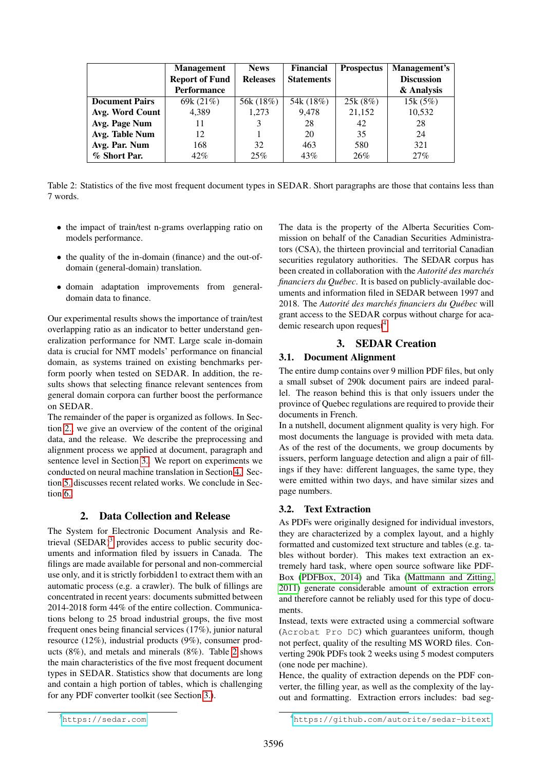<span id="page-1-3"></span>

|                       | <b>Management</b>     | <b>Financial</b><br><b>News</b> |                   | <b>Prospectus</b> | Management's      |  |
|-----------------------|-----------------------|---------------------------------|-------------------|-------------------|-------------------|--|
|                       | <b>Report of Fund</b> | <b>Releases</b>                 | <b>Statements</b> |                   | <b>Discussion</b> |  |
|                       | <b>Performance</b>    |                                 |                   |                   | & Analysis        |  |
| <b>Document Pairs</b> | 69k $(21%)$           | 56k (18%)                       | 54k (18%)         | 25k(8%)           | 15k(5%)           |  |
| Avg. Word Count       | 4.389                 | 1.273                           | 9.478             | 21,152            | 10,532            |  |
| Avg. Page Num         | 11                    | 3                               | 28                | 42                | 28                |  |
| Avg. Table Num        | 12                    |                                 | 20                | 35                | 24                |  |
| Avg. Par. Num         | 168                   | 32                              | 463               | 580               | 321               |  |
| % Short Par.          | $42\%$                | 25%                             | 43%               | 26%               | 27%               |  |

Table 2: Statistics of the five most frequent document types in SEDAR. Short paragraphs are those that contains less than 7 words.

- the impact of train/test n-grams overlapping ratio on models performance.
- the quality of the in-domain (finance) and the out-ofdomain (general-domain) translation.
- domain adaptation improvements from generaldomain data to finance.

Our experimental results shows the importance of train/test overlapping ratio as an indicator to better understand generalization performance for NMT. Large scale in-domain data is crucial for NMT models' performance on financial domain, as systems trained on existing benchmarks perform poorly when tested on SEDAR. In addition, the results shows that selecting finance relevant sentences from general domain corpora can further boost the performance on SEDAR.

The remainder of the paper is organized as follows. In Section [2.,](#page-1-0) we give an overview of the content of the original data, and the release. We describe the preprocessing and alignment process we applied at document, paragraph and sentence level in Section [3..](#page-1-1) We report on experiments we conducted on neural machine translation in Section [4..](#page-4-1) Section [5.](#page-5-0) discusses recent related works. We conclude in Section [6..](#page-6-8)

### 2. Data Collection and Release

<span id="page-1-0"></span>The System for Electronic Document Analysis and Retrieval  $(SEDAR)^3$  $(SEDAR)^3$  provides access to public security documents and information filed by issuers in Canada. The filings are made available for personal and non-commercial use only, and it is strictly forbidden1 to extract them with an automatic process (e.g. a crawler). The bulk of fillings are concentrated in recent years: documents submitted between 2014-2018 form 44% of the entire collection. Communications belong to 25 broad industrial groups, the five most frequent ones being financial services (17%), junior natural resource (12%), industrial products (9%), consumer products (8%), and metals and minerals (8%). Table [2](#page-1-3) shows the main characteristics of the five most frequent document types in SEDAR. Statistics show that documents are long and contain a high portion of tables, which is challenging for any PDF converter toolkit (see Section [3.\)](#page-1-1).

The data is the property of the Alberta Securities Commission on behalf of the Canadian Securities Administrators (CSA), the thirteen provincial and territorial Canadian securities regulatory authorities. The SEDAR corpus has been created in collaboration with the *Autorité des marchés financiers du Québec*. It is based on publicly-available documents and information filed in SEDAR between 1997 and 2018. The Autorité des marchés financiers du Québec will grant access to the SEDAR corpus without charge for aca-demic research upon request<sup>[4](#page-1-4)</sup>.

### 3. SEDAR Creation

### <span id="page-1-1"></span>3.1. Document Alignment

The entire dump contains over 9 million PDF files, but only a small subset of 290k document pairs are indeed parallel. The reason behind this is that only issuers under the province of Quebec regulations are required to provide their documents in French.

In a nutshell, document alignment quality is very high. For most documents the language is provided with meta data. As of the rest of the documents, we group documents by issuers, perform language detection and align a pair of fillings if they have: different languages, the same type, they were emitted within two days, and have similar sizes and page numbers.

### 3.2. Text Extraction

As PDFs were originally designed for individual investors, they are characterized by a complex layout, and a highly formatted and customized text structure and tables (e.g. tables without border). This makes text extraction an extremely hard task, where open source software like PDF-Box [\(PDFBox, 2014\)](#page-7-5) and Tika [\(Mattmann and Zitting,](#page-7-6) [2011\)](#page-7-6) generate considerable amount of extraction errors and therefore cannot be reliably used for this type of documents.

Instead, texts were extracted using a commercial software (Acrobat Pro DC) which guarantees uniform, though not perfect, quality of the resulting MS WORD files. Converting 290k PDFs took 2 weeks using 5 modest computers (one node per machine).

Hence, the quality of extraction depends on the PDF converter, the filling year, as well as the complexity of the layout and formatting. Extraction errors includes: bad seg-

<span id="page-1-2"></span><sup>3</sup><https://sedar.com>

<span id="page-1-4"></span><sup>4</sup><https://github.com/autorite/sedar-bitext>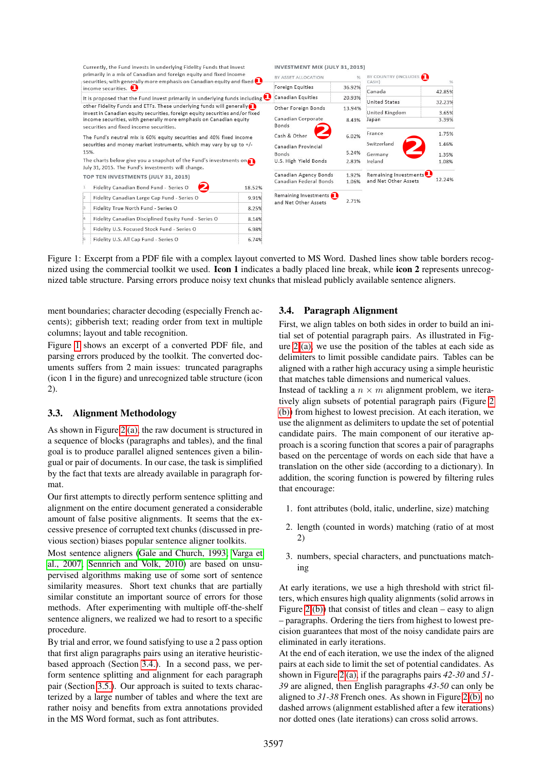<span id="page-2-0"></span>

Figure 1: Excerpt from a PDF file with a complex layout converted to MS Word. Dashed lines show table borders recognized using the commercial toolkit we used. **Icon 1** indicates a badly placed line break, while **icon 2** represents unrecognized table structure. Parsing errors produce noisy text chunks that mislead publicly available sentence aligners.

ment boundaries; character decoding (especially French accents); gibberish text; reading order from text in multiple columns; layout and table recognition.

Figure [1](#page-2-0) shows an excerpt of a converted PDF file, and parsing errors produced by the toolkit. The converted documents suffers from 2 main issues: truncated paragraphs (icon 1 in the figure) and unrecognized table structure (icon 2).

### 3.3. Alignment Methodology

As shown in Figure [2 \(a\),](#page-3-0) the raw document is structured in a sequence of blocks (paragraphs and tables), and the final goal is to produce parallel aligned sentences given a bilingual or pair of documents. In our case, the task is simplified by the fact that texts are already available in paragraph format.

Our first attempts to directly perform sentence splitting and alignment on the entire document generated a considerable amount of false positive alignments. It seems that the excessive presence of corrupted text chunks (discussed in previous section) biases popular sentence aligner toolkits.

Most sentence aligners [\(Gale and Church, 1993;](#page-6-9) [Varga et](#page-7-7) [al., 2007;](#page-7-7) [Sennrich and Volk, 2010\)](#page-7-8) are based on unsupervised algorithms making use of some sort of sentence similarity measures. Short text chunks that are partially similar constitute an important source of errors for those methods. After experimenting with multiple off-the-shelf sentence aligners, we realized we had to resort to a specific procedure.

By trial and error, we found satisfying to use a 2 pass option that first align paragraphs pairs using an iterative heuristicbased approach (Section [3.4.\)](#page-2-1). In a second pass, we perform sentence splitting and alignment for each paragraph pair (Section [3.5.\)](#page-3-1). Our approach is suited to texts characterized by a large number of tables and where the text are rather noisy and benefits from extra annotations provided in the MS Word format, such as font attributes.

### <span id="page-2-1"></span>3.4. Paragraph Alignment

First, we align tables on both sides in order to build an initial set of potential paragraph pairs. As illustrated in Figure [2 \(a\),](#page-3-0) we use the position of the tables at each side as delimiters to limit possible candidate pairs. Tables can be aligned with a rather high accuracy using a simple heuristic that matches table dimensions and numerical values.

Instead of tackling a  $n \times m$  alignment problem, we iteratively align subsets of potential paragraph pairs (Figure [2](#page-3-0) [\(b\)\)](#page-3-0) from highest to lowest precision. At each iteration, we use the alignment as delimiters to update the set of potential candidate pairs. The main component of our iterative approach is a scoring function that scores a pair of paragraphs based on the percentage of words on each side that have a translation on the other side (according to a dictionary). In addition, the scoring function is powered by filtering rules that encourage:

- 1. font attributes (bold, italic, underline, size) matching
- 2. length (counted in words) matching (ratio of at most 2)
- 3. numbers, special characters, and punctuations matching

At early iterations, we use a high threshold with strict filters, which ensures high quality alignments (solid arrows in Figure [2 \(b\)\)](#page-3-0) that consist of titles and clean – easy to align – paragraphs. Ordering the tiers from highest to lowest precision guarantees that most of the noisy candidate pairs are eliminated in early iterations.

At the end of each iteration, we use the index of the aligned pairs at each side to limit the set of potential candidates. As shown in Figure [2 \(a\),](#page-3-0) if the paragraphs pairs *42-30* and *51- 39* are aligned, then English paragraphs *43-50* can only be aligned to *31-38* French ones. As shown in Figure [2 \(b\),](#page-3-0) no dashed arrows (alignment established after a few iterations) nor dotted ones (late iterations) can cross solid arrows.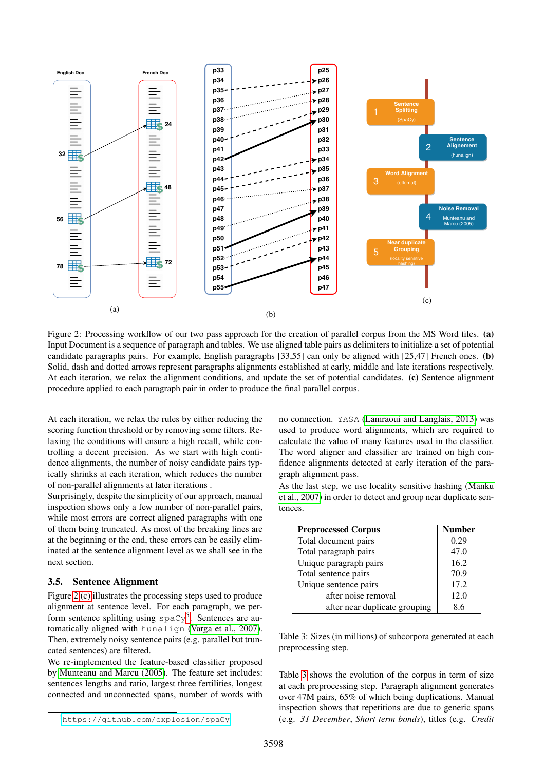<span id="page-3-0"></span>

Figure 2: Processing workflow of our two pass approach for the creation of parallel corpus from the MS Word files. (a) Input Document is a sequence of paragraph and tables. We use aligned table pairs as delimiters to initialize a set of potential candidate paragraphs pairs. For example, English paragraphs [33,55] can only be aligned with [25,47] French ones. (b) Solid, dash and dotted arrows represent paragraphs alignments established at early, middle and late iterations respectively. At each iteration, we relax the alignment conditions, and update the set of potential candidates. (c) Sentence alignment procedure applied to each paragraph pair in order to produce the final parallel corpus.

At each iteration, we relax the rules by either reducing the scoring function threshold or by removing some filters. Relaxing the conditions will ensure a high recall, while controlling a decent precision. As we start with high confidence alignments, the number of noisy candidate pairs typically shrinks at each iteration, which reduces the number of non-parallel alignments at later iterations .

Surprisingly, despite the simplicity of our approach, manual inspection shows only a few number of non-parallel pairs, while most errors are correct aligned paragraphs with one of them being truncated. As most of the breaking lines are at the beginning or the end, these errors can be easily eliminated at the sentence alignment level as we shall see in the next section.

#### <span id="page-3-1"></span>3.5. Sentence Alignment

Figure [2 \(c\)](#page-3-0) illustrates the processing steps used to produce alignment at sentence level. For each paragraph, we perform sentence splitting using  $\text{spacy}^5$  $\text{spacy}^5$ . Sentences are automatically aligned with hunalign [\(Varga et al., 2007\)](#page-7-7). Then, extremely noisy sentence pairs (e.g. parallel but truncated sentences) are filtered.

We re-implemented the feature-based classifier proposed by [Munteanu and Marcu \(2005\)](#page-7-9). The feature set includes: sentences lengths and ratio, largest three fertilities, longest connected and unconnected spans, number of words with

no connection. YASA [\(Lamraoui and Langlais, 2013\)](#page-7-10) was used to produce word alignments, which are required to calculate the value of many features used in the classifier. The word aligner and classifier are trained on high confidence alignments detected at early iteration of the paragraph alignment pass.

As the last step, we use locality sensitive hashing [\(Manku](#page-7-11) [et al., 2007\)](#page-7-11) in order to detect and group near duplicate sentences.

<span id="page-3-3"></span>

| <b>Preprocessed Corpus</b>    | <b>Number</b> |  |  |
|-------------------------------|---------------|--|--|
| Total document pairs          | 0.29          |  |  |
| Total paragraph pairs         | 47.0          |  |  |
| Unique paragraph pairs        | 16.2          |  |  |
| Total sentence pairs          | 70.9          |  |  |
| Unique sentence pairs         | 17.2          |  |  |
| after noise removal           | 12.0          |  |  |
| after near duplicate grouping | 8.6           |  |  |

Table 3: Sizes (in millions) of subcorpora generated at each preprocessing step.

Table [3](#page-3-3) shows the evolution of the corpus in term of size at each preprocessing step. Paragraph alignment generates over 47M pairs, 65% of which being duplications. Manual inspection shows that repetitions are due to generic spans (e.g. *31 December*, *Short term bonds*), titles (e.g. *Credit*

<span id="page-3-2"></span><sup>5</sup><https://github.com/explosion/spaCy>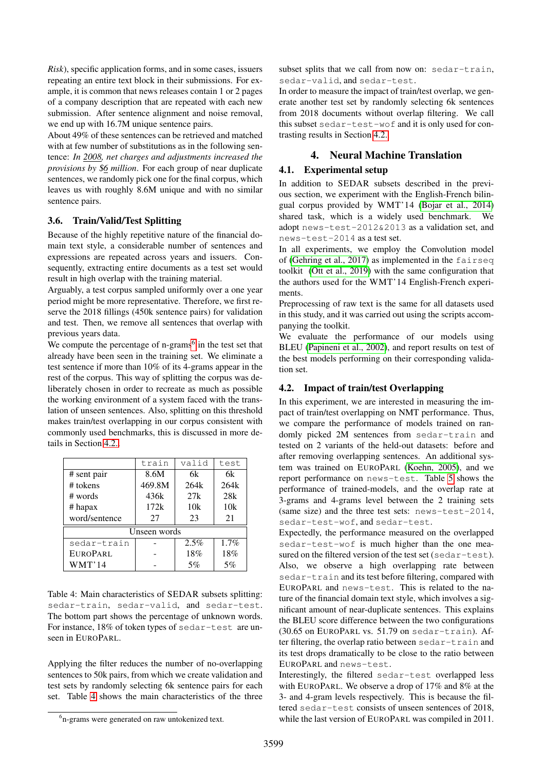*Risk*), specific application forms, and in some cases, issuers repeating an entire text block in their submissions. For example, it is common that news releases contain 1 or 2 pages of a company description that are repeated with each new submission. After sentence alignment and noise removal, we end up with 16.7M unique sentence pairs.

About 49% of these sentences can be retrieved and matched with at few number of substitutions as in the following sentence: *In 2008, net charges and adjustments increased the provisions by* \$*6 million*. For each group of near duplicate sentences, we randomly pick one for the final corpus, which leaves us with roughly 8.6M unique and with no similar sentence pairs.

### <span id="page-4-0"></span>3.6. Train/Valid/Test Splitting

Because of the highly repetitive nature of the financial domain text style, a considerable number of sentences and expressions are repeated across years and issuers. Consequently, extracting entire documents as a test set would result in high overlap with the training material.

Arguably, a test corpus sampled uniformly over a one year period might be more representative. Therefore, we first reserve the 2018 fillings (450k sentence pairs) for validation and test. Then, we remove all sentences that overlap with previous years data.

We compute the percentage of  $n$ -grams<sup>[6](#page-4-2)</sup> in the test set that already have been seen in the training set. We eliminate a test sentence if more than 10% of its 4-grams appear in the rest of the corpus. This way of splitting the corpus was deliberately chosen in order to recreate as much as possible the working environment of a system faced with the translation of unseen sentences. Also, splitting on this threshold makes train/test overlapping in our corpus consistent with commonly used benchmarks, this is discussed in more details in Section [4.2..](#page-4-3)

<span id="page-4-4"></span>

|               | train<br>valid |      | test |  |  |  |
|---------------|----------------|------|------|--|--|--|
| # sent pair   | 8.6M           | 6k   | 6k   |  |  |  |
| # tokens      | 469.8M         | 264k | 264k |  |  |  |
| # words       | 436k           | 27k  | 28k  |  |  |  |
| $#$ hapax     | 172k           | 10k  | 10k  |  |  |  |
| word/sentence | 27             | 23   | 21   |  |  |  |
| Unseen words  |                |      |      |  |  |  |
| sedar-train   |                | 2.5% | 1.7% |  |  |  |
| EUROPARL      |                | 18%  | 18%  |  |  |  |
| WMT'14        |                | 5%   | 5%   |  |  |  |

Table 4: Main characteristics of SEDAR subsets splitting: sedar-train, sedar-valid, and sedar-test. The bottom part shows the percentage of unknown words. For instance, 18% of token types of sedar-test are unseen in EUROPARL.

Applying the filter reduces the number of no-overlapping sentences to 50k pairs, from which we create validation and test sets by randomly selecting 6k sentence pairs for each set. Table [4](#page-4-4) shows the main characteristics of the three subset splits that we call from now on: sedar-train, sedar-valid, and sedar-test.

In order to measure the impact of train/test overlap, we generate another test set by randomly selecting 6k sentences from 2018 documents without overlap filtering. We call this subset sedar-test-wof and it is only used for contrasting results in Section [4.2..](#page-4-3)

## 4. Neural Machine Translation

## <span id="page-4-1"></span>4.1. Experimental setup

In addition to SEDAR subsets described in the previous section, we experiment with the English-French bilingual corpus provided by WMT'14 [\(Bojar et al., 2014\)](#page-6-4) shared task, which is a widely used benchmark. We adopt news-test-2012&2013 as a validation set, and news-test-2014 as a test set.

In all experiments, we employ the Convolution model of [\(Gehring et al., 2017\)](#page-6-10) as implemented in the fairseq toolkit [\(Ott et al., 2019\)](#page-7-12) with the same configuration that the authors used for the WMT'14 English-French experiments.

Preprocessing of raw text is the same for all datasets used in this study, and it was carried out using the scripts accompanying the toolkit.

We evaluate the performance of our models using BLEU [\(Papineni et al., 2002\)](#page-7-13), and report results on test of the best models performing on their corresponding validation set.

## <span id="page-4-3"></span>4.2. Impact of train/test Overlapping

In this experiment, we are interested in measuring the impact of train/test overlapping on NMT performance. Thus, we compare the performance of models trained on randomly picked 2M sentences from sedar-train and tested on 2 variants of the held-out datasets: before and after removing overlapping sentences. An additional system was trained on EUROPARL [\(Koehn, 2005\)](#page-7-2), and we report performance on news-test. Table [5](#page-5-1) shows the performance of trained-models, and the overlap rate at 3-grams and 4-grams level between the 2 training sets (same size) and the three test sets: news-test-2014, sedar-test-wof, and sedar-test.

Expectedly, the performance measured on the overlapped sedar-test-wof is much higher than the one measured on the filtered version of the test set (sedar-test). Also, we observe a high overlapping rate between sedar-train and its test before filtering, compared with EUROPARL and news-test. This is related to the nature of the financial domain text style, which involves a significant amount of near-duplicate sentences. This explains the BLEU score difference between the two configurations (30.65 on EUROPARL vs. 51.79 on sedar-train). After filtering, the overlap ratio between sedar-train and its test drops dramatically to be close to the ratio between EUROPARL and news-test.

Interestingly, the filtered sedar-test overlapped less with EUROPARL. We observe a drop of 17% and 8% at the 3- and 4-gram levels respectively. This is because the filtered sedar-test consists of unseen sentences of 2018, while the last version of EUROPARL was compiled in 2011.

<span id="page-4-2"></span><sup>6</sup> n-grams were generated on raw untokenized text.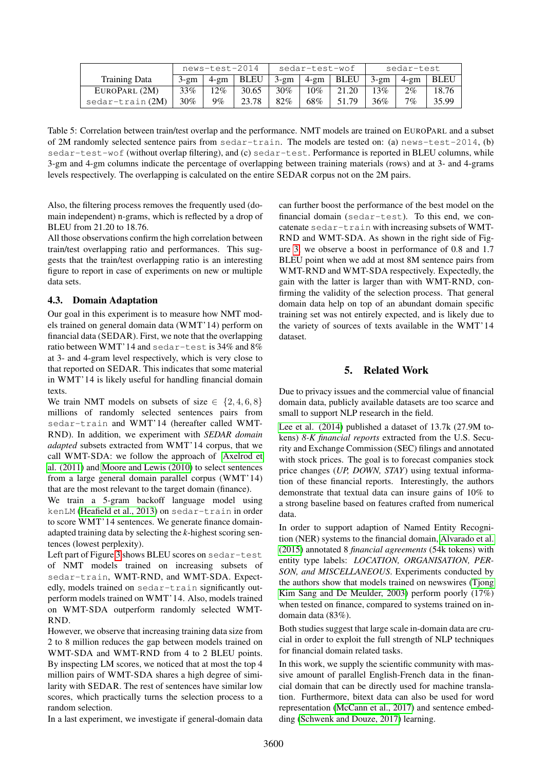<span id="page-5-1"></span>

|                  | news-test-2014 |         | sedar-test-wof |        |     | sedar-test           |         |          |             |
|------------------|----------------|---------|----------------|--------|-----|----------------------|---------|----------|-------------|
| Training Data    | $3-2m$         | $4$ -gm | BLEU           | $3-gm$ |     | $4\text{-gm}$   BLEU | $3$ -gm | . 4-gm l | <b>BLEU</b> |
| EUROPARL (2M)    | 33%            | $12\%$  | 30.65          | $30\%$ | 10% | 21.20                | 13%     | $2\%$    | 8.76        |
| sedar-train (2M) | 30%            | 9%      | 23.78          | 82%    | 68% | 51.79                | 36%     | $7\%$    | 35.99       |

Table 5: Correlation between train/test overlap and the performance. NMT models are trained on EUROPARL and a subset of 2M randomly selected sentence pairs from sedar-train. The models are tested on: (a) news-test-2014, (b) sedar-test-wof (without overlap filtering), and (c) sedar-test. Performance is reported in BLEU columns, while 3-gm and 4-gm columns indicate the percentage of overlapping between training materials (rows) and at 3- and 4-grams levels respectively. The overlapping is calculated on the entire SEDAR corpus not on the 2M pairs.

Also, the filtering process removes the frequently used (domain independent) n-grams, which is reflected by a drop of BLEU from 21.20 to 18.76.

All those observations confirm the high correlation between train/test overlapping ratio and performances. This suggests that the train/test overlapping ratio is an interesting figure to report in case of experiments on new or multiple data sets.

### 4.3. Domain Adaptation

Our goal in this experiment is to measure how NMT models trained on general domain data (WMT'14) perform on financial data (SEDAR). First, we note that the overlapping ratio between WMT'14 and sedar-test is 34% and 8% at 3- and 4-gram level respectively, which is very close to that reported on SEDAR. This indicates that some material in WMT'14 is likely useful for handling financial domain texts.

We train NMT models on subsets of size  $\in \{2, 4, 6, 8\}$ millions of randomly selected sentences pairs from sedar-train and WMT'14 (hereafter called WMT-RND). In addition, we experiment with *SEDAR domain adapted* subsets extracted from WMT'14 corpus, that we call WMT-SDA: we follow the approach of [Axelrod et](#page-6-11) [al. \(2011\)](#page-6-11) and [Moore and Lewis \(2010\)](#page-7-14) to select sentences from a large general domain parallel corpus (WMT'14) that are the most relevant to the target domain (finance).

We train a 5-gram backoff language model using kenLM [\(Heafield et al., 2013\)](#page-6-12) on sedar-train in order to score WMT'14 sentences. We generate finance domainadapted training data by selecting the *k*-highest scoring sentences (lowest perplexity).

Left part of Figure [3](#page-6-13) shows BLEU scores on sedar-test of NMT models trained on increasing subsets of sedar-train, WMT-RND, and WMT-SDA. Expectedly, models trained on sedar-train significantly outperform models trained on WMT'14. Also, models trained on WMT-SDA outperform randomly selected WMT-RND.

However, we observe that increasing training data size from 2 to 8 million reduces the gap between models trained on WMT-SDA and WMT-RND from 4 to 2 BLEU points. By inspecting LM scores, we noticed that at most the top 4 million pairs of WMT-SDA shares a high degree of similarity with SEDAR. The rest of sentences have similar low scores, which practically turns the selection process to a random selection.

In a last experiment, we investigate if general-domain data

can further boost the performance of the best model on the financial domain (sedar-test). To this end, we concatenate sedar-train with increasing subsets of WMT-RND and WMT-SDA. As shown in the right side of Figure [3,](#page-6-13) we observe a boost in performance of 0.8 and 1.7 BLEU point when we add at most 8M sentence pairs from WMT-RND and WMT-SDA respectively. Expectedly, the gain with the latter is larger than with WMT-RND, confirming the validity of the selection process. That general domain data help on top of an abundant domain specific training set was not entirely expected, and is likely due to the variety of sources of texts available in the WMT'14 dataset.

### 5. Related Work

<span id="page-5-0"></span>Due to privacy issues and the commercial value of financial domain data, publicly available datasets are too scarce and small to support NLP research in the field.

[Lee et al. \(2014\)](#page-7-15) published a dataset of 13.7k (27.9M tokens) *8-K financial reports* extracted from the U.S. Security and Exchange Commission (SEC) filings and annotated with stock prices. The goal is to forecast companies stock price changes (*UP, DOWN, STAY*) using textual information of these financial reports. Interestingly, the authors demonstrate that textual data can insure gains of 10% to a strong baseline based on features crafted from numerical data.

In order to support adaption of Named Entity Recognition (NER) systems to the financial domain, [Alvarado et al.](#page-6-14) [\(2015\)](#page-6-14) annotated 8 *financial agreements* (54k tokens) with entity type labels: *LOCATION, ORGANISATION, PER-SON, and MISCELLANEOUS*. Experiments conducted by the authors show that models trained on newswires [\(Tjong](#page-7-16) [Kim Sang and De Meulder, 2003\)](#page-7-16) perform poorly (17%) when tested on finance, compared to systems trained on indomain data (83%).

Both studies suggest that large scale in-domain data are crucial in order to exploit the full strength of NLP techniques for financial domain related tasks.

In this work, we supply the scientific community with massive amount of parallel English-French data in the financial domain that can be directly used for machine translation. Furthermore, bitext data can also be used for word representation [\(McCann et al., 2017\)](#page-7-17) and sentence embedding [\(Schwenk and Douze, 2017\)](#page-7-18) learning.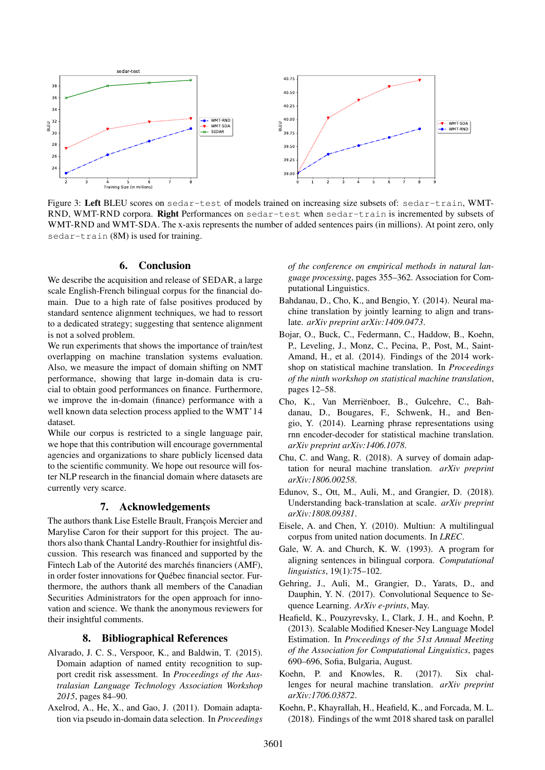<span id="page-6-13"></span>

Figure 3: Left BLEU scores on sedar-test of models trained on increasing size subsets of: sedar-train, WMT-RND, WMT-RND corpora. Right Performances on sedar-test when sedar-train is incremented by subsets of WMT-RND and WMT-SDA. The x-axis represents the number of added sentences pairs (in millions). At point zero, only sedar-train (8M) is used for training.

### 6. Conclusion

<span id="page-6-8"></span>We describe the acquisition and release of SEDAR, a large scale English-French bilingual corpus for the financial domain. Due to a high rate of false positives produced by standard sentence alignment techniques, we had to ressort to a dedicated strategy; suggesting that sentence alignment is not a solved problem.

We run experiments that shows the importance of train/test overlapping on machine translation systems evaluation. Also, we measure the impact of domain shifting on NMT performance, showing that large in-domain data is crucial to obtain good performances on finance. Furthermore, we improve the in-domain (finance) performance with a well known data selection process applied to the WMT'14 dataset.

While our corpus is restricted to a single language pair, we hope that this contribution will encourage governmental agencies and organizations to share publicly licensed data to the scientific community. We hope out resource will foster NLP research in the financial domain where datasets are currently very scarce.

### 7. Acknowledgements

The authors thank Lise Estelle Brault, Francois Mercier and Marylise Caron for their support for this project. The authors also thank Chantal Landry-Routhier for insightful discussion. This research was financed and supported by the Fintech Lab of the Autorité des marchés financiers (AMF), in order foster innovations for Québec financial sector. Furthermore, the authors thank all members of the Canadian Securities Administrators for the open approach for innovation and science. We thank the anonymous reviewers for their insightful comments.

#### 8. Bibliographical References

- <span id="page-6-14"></span>Alvarado, J. C. S., Verspoor, K., and Baldwin, T. (2015). Domain adaption of named entity recognition to support credit risk assessment. In *Proceedings of the Australasian Language Technology Association Workshop 2015*, pages 84–90.
- <span id="page-6-11"></span>Axelrod, A., He, X., and Gao, J. (2011). Domain adaptation via pseudo in-domain data selection. In *Proceedings*

*of the conference on empirical methods in natural language processing*, pages 355–362. Association for Computational Linguistics.

- <span id="page-6-1"></span>Bahdanau, D., Cho, K., and Bengio, Y. (2014). Neural machine translation by jointly learning to align and translate. *arXiv preprint arXiv:1409.0473*.
- <span id="page-6-4"></span>Bojar, O., Buck, C., Federmann, C., Haddow, B., Koehn, P., Leveling, J., Monz, C., Pecina, P., Post, M., Saint-Amand, H., et al. (2014). Findings of the 2014 workshop on statistical machine translation. In *Proceedings of the ninth workshop on statistical machine translation*, pages 12–58.
- <span id="page-6-0"></span>Cho, K., Van Merriënboer, B., Gulcehre, C., Bahdanau, D., Bougares, F., Schwenk, H., and Bengio, Y. (2014). Learning phrase representations using rnn encoder-decoder for statistical machine translation. *arXiv preprint arXiv:1406.1078*.
- <span id="page-6-6"></span>Chu, C. and Wang, R. (2018). A survey of domain adaptation for neural machine translation. *arXiv preprint arXiv:1806.00258*.
- <span id="page-6-2"></span>Edunov, S., Ott, M., Auli, M., and Grangier, D. (2018). Understanding back-translation at scale. *arXiv preprint arXiv:1808.09381*.
- <span id="page-6-5"></span>Eisele, A. and Chen, Y. (2010). Multiun: A multilingual corpus from united nation documents. In *LREC*.
- <span id="page-6-9"></span>Gale, W. A. and Church, K. W. (1993). A program for aligning sentences in bilingual corpora. *Computational linguistics*, 19(1):75–102.
- <span id="page-6-10"></span>Gehring, J., Auli, M., Grangier, D., Yarats, D., and Dauphin, Y. N. (2017). Convolutional Sequence to Sequence Learning. *ArXiv e-prints*, May.
- <span id="page-6-12"></span>Heafield, K., Pouzyrevsky, I., Clark, J. H., and Koehn, P. (2013). Scalable Modified Kneser-Ney Language Model Estimation. In *Proceedings of the 51st Annual Meeting of the Association for Computational Linguistics*, pages 690–696, Sofia, Bulgaria, August.
- <span id="page-6-3"></span>Koehn, P. and Knowles, R. (2017). Six challenges for neural machine translation. *arXiv preprint arXiv:1706.03872*.
- <span id="page-6-7"></span>Koehn, P., Khayrallah, H., Heafield, K., and Forcada, M. L. (2018). Findings of the wmt 2018 shared task on parallel